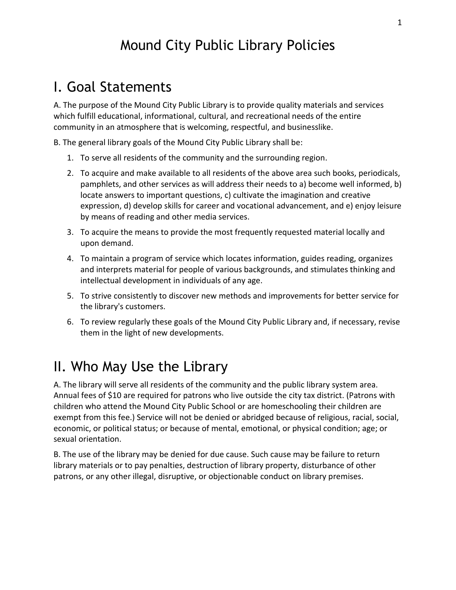# Mound City Public Library Policies

# I. Goal Statements

A. The purpose of the Mound City Public Library is to provide quality materials and services which fulfill educational, informational, cultural, and recreational needs of the entire community in an atmosphere that is welcoming, respectful, and businesslike.

B. The general library goals of the Mound City Public Library shall be:

- 1. To serve all residents of the community and the surrounding region.
- 2. To acquire and make available to all residents of the above area such books, periodicals, pamphlets, and other services as will address their needs to a) become well informed, b) locate answers to important questions, c) cultivate the imagination and creative expression, d) develop skills for career and vocational advancement, and e) enjoy leisure by means of reading and other media services.
- 3. To acquire the means to provide the most frequently requested material locally and upon demand.
- 4. To maintain a program of service which locates information, guides reading, organizes and interprets material for people of various backgrounds, and stimulates thinking and intellectual development in individuals of any age.
- 5. To strive consistently to discover new methods and improvements for better service for the library's customers.
- 6. To review regularly these goals of the Mound City Public Library and, if necessary, revise them in the light of new developments.

# II. Who May Use the Library

A. The library will serve all residents of the community and the public library system area. Annual fees of \$10 are required for patrons who live outside the city tax district. (Patrons with children who attend the Mound City Public School or are homeschooling their children are exempt from this fee.) Service will not be denied or abridged because of religious, racial, social, economic, or political status; or because of mental, emotional, or physical condition; age; or sexual orientation.

B. The use of the library may be denied for due cause. Such cause may be failure to return library materials or to pay penalties, destruction of library property, disturbance of other patrons, or any other illegal, disruptive, or objectionable conduct on library premises.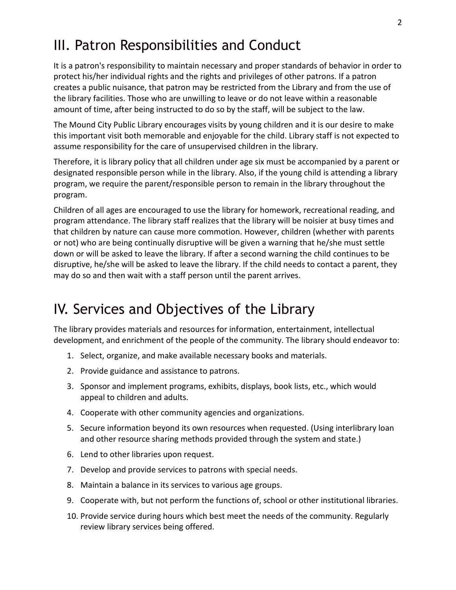# III. Patron Responsibilities and Conduct

It is a patron's responsibility to maintain necessary and proper standards of behavior in order to protect his/her individual rights and the rights and privileges of other patrons. If a patron creates a public nuisance, that patron may be restricted from the Library and from the use of the library facilities. Those who are unwilling to leave or do not leave within a reasonable amount of time, after being instructed to do so by the staff, will be subject to the law.

The Mound City Public Library encourages visits by young children and it is our desire to make this important visit both memorable and enjoyable for the child. Library staff is not expected to assume responsibility for the care of unsupervised children in the library.

Therefore, it is library policy that all children under age six must be accompanied by a parent or designated responsible person while in the library. Also, if the young child is attending a library program, we require the parent/responsible person to remain in the library throughout the program.

Children of all ages are encouraged to use the library for homework, recreational reading, and program attendance. The library staff realizes that the library will be noisier at busy times and that children by nature can cause more commotion. However, children (whether with parents or not) who are being continually disruptive will be given a warning that he/she must settle down or will be asked to leave the library. If after a second warning the child continues to be disruptive, he/she will be asked to leave the library. If the child needs to contact a parent, they may do so and then wait with a staff person until the parent arrives.

# IV. Services and Objectives of the Library

The library provides materials and resources for information, entertainment, intellectual development, and enrichment of the people of the community. The library should endeavor to:

- 1. Select, organize, and make available necessary books and materials.
- 2. Provide guidance and assistance to patrons.
- 3. Sponsor and implement programs, exhibits, displays, book lists, etc., which would appeal to children and adults.
- 4. Cooperate with other community agencies and organizations.
- 5. Secure information beyond its own resources when requested. (Using interlibrary loan and other resource sharing methods provided through the system and state.)
- 6. Lend to other libraries upon request.
- 7. Develop and provide services to patrons with special needs.
- 8. Maintain a balance in its services to various age groups.
- 9. Cooperate with, but not perform the functions of, school or other institutional libraries.
- 10. Provide service during hours which best meet the needs of the community. Regularly review library services being offered.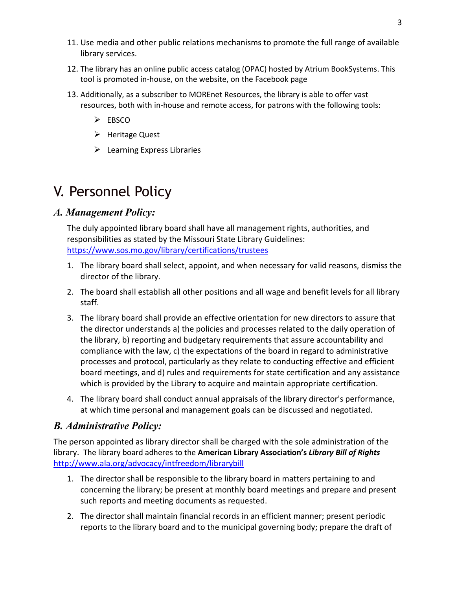- 11. Use media and other public relations mechanisms to promote the full range of available library services.
- 12. The library has an online public access catalog (OPAC) hosted by Atrium BookSystems. This tool is promoted in-house, on the website, on the Facebook page
- 13. Additionally, as a subscriber to MOREnet Resources, the library is able to offer vast resources, both with in-house and remote access, for patrons with the following tools:
	- $\triangleright$  EBSCO
	- $\triangleright$  Heritage Quest
	- $\triangleright$  Learning Express Libraries

# V. Personnel Policy

### *A. Management Policy:*

The duly appointed library board shall have all management rights, authorities, and responsibilities as stated by the Missouri State Library Guidelines: <https://www.sos.mo.gov/library/certifications/trustees>

- 1. The library board shall select, appoint, and when necessary for valid reasons, dismiss the director of the library.
- 2. The board shall establish all other positions and all wage and benefit levels for all library staff.
- 3. The library board shall provide an effective orientation for new directors to assure that the director understands a) the policies and processes related to the daily operation of the library, b) reporting and budgetary requirements that assure accountability and compliance with the law, c) the expectations of the board in regard to administrative processes and protocol, particularly as they relate to conducting effective and efficient board meetings, and d) rules and requirements for state certification and any assistance which is provided by the Library to acquire and maintain appropriate certification.
- 4. The library board shall conduct annual appraisals of the library director's performance, at which time personal and management goals can be discussed and negotiated.

#### *B. Administrative Policy:*

The person appointed as library director shall be charged with the sole administration of the library. The library board adheres to the **American Library Association's** *Library Bill of Rights*  <http://www.ala.org/advocacy/intfreedom/librarybill>

- 1. The director shall be responsible to the library board in matters pertaining to and concerning the library; be present at monthly board meetings and prepare and present such reports and meeting documents as requested.
- 2. The director shall maintain financial records in an efficient manner; present periodic reports to the library board and to the municipal governing body; prepare the draft of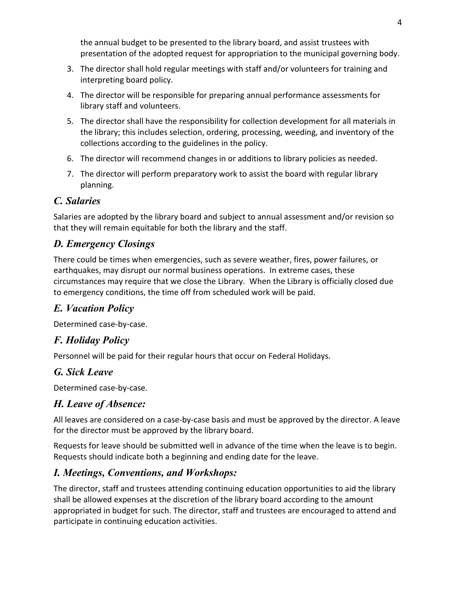the annual budget to be presented to the library board, and assist trustees with presentation of the adopted request for appropriation to the municipal governing body.

- 3. The director shall hold regular meetings with staff and/or volunteers for training and interpreting board policy.
- 4. The director will be responsible for preparing annual performance assessments for library staff and volunteers.
- 5. The director shall have the responsibility for collection development for all materials in the library; this includes selection, ordering, processing, weeding, and inventory of the collections according to the guidelines in the policy.
- 6. The director will recommend changes in or additions to library policies as needed.
- 7. The director will perform preparatory work to assist the board with regular library planning.

## *C. Salaries*

Salaries are adopted by the library board and subject to annual assessment and/or revision so that they will remain equitable for both the library and the staff.

## *D. Emergency Closings*

There could be times when emergencies, such as severe weather, fires, power failures, or earthquakes, may disrupt our normal business operations. In extreme cases, these circumstances may require that we close the Library. When the Library is officially closed due to emergency conditions, the time off from scheduled work will be paid.

## *E. Vacation Policy*

Determined case-by-case.

## *F. Holiday Policy*

Personnel will be paid for their regular hours that occur on Federal Holidays.

## *G. Sick Leave*

Determined case-by-case*.*

## *H. Leave of Absence:*

All leaves are considered on a case-by-case basis and must be approved by the director. A leave for the director must be approved by the library board.

Requests for leave should be submitted well in advance of the time when the leave is to begin. Requests should indicate both a beginning and ending date for the leave.

## *I. Meetings, Conventions, and Workshops:*

The director, staff and trustees attending continuing education opportunities to aid the library shall be allowed expenses at the discretion of the library board according to the amount appropriated in budget for such. The director, staff and trustees are encouraged to attend and participate in continuing education activities.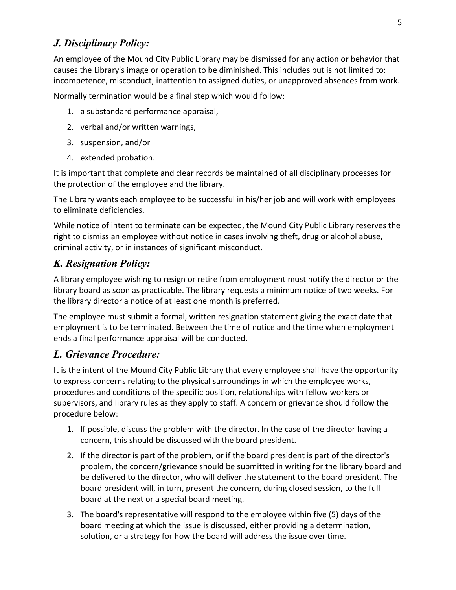#### *J. Disciplinary Policy:*

An employee of the Mound City Public Library may be dismissed for any action or behavior that causes the Library's image or operation to be diminished. This includes but is not limited to: incompetence, misconduct, inattention to assigned duties, or unapproved absences from work.

Normally termination would be a final step which would follow:

- 1. a substandard performance appraisal,
- 2. verbal and/or written warnings,
- 3. suspension, and/or
- 4. extended probation.

It is important that complete and clear records be maintained of all disciplinary processes for the protection of the employee and the library.

The Library wants each employee to be successful in his/her job and will work with employees to eliminate deficiencies.

While notice of intent to terminate can be expected, the Mound City Public Library reserves the right to dismiss an employee without notice in cases involving theft, drug or alcohol abuse, criminal activity, or in instances of significant misconduct.

### *K. Resignation Policy:*

A library employee wishing to resign or retire from employment must notify the director or the library board as soon as practicable. The library requests a minimum notice of two weeks. For the library director a notice of at least one month is preferred.

The employee must submit a formal, written resignation statement giving the exact date that employment is to be terminated. Between the time of notice and the time when employment ends a final performance appraisal will be conducted.

#### *L. Grievance Procedure:*

It is the intent of the Mound City Public Library that every employee shall have the opportunity to express concerns relating to the physical surroundings in which the employee works, procedures and conditions of the specific position, relationships with fellow workers or supervisors, and library rules as they apply to staff. A concern or grievance should follow the procedure below:

- 1. If possible, discuss the problem with the director. In the case of the director having a concern, this should be discussed with the board president.
- 2. If the director is part of the problem, or if the board president is part of the director's problem, the concern/grievance should be submitted in writing for the library board and be delivered to the director, who will deliver the statement to the board president. The board president will, in turn, present the concern, during closed session, to the full board at the next or a special board meeting.
- 3. The board's representative will respond to the employee within five (5) days of the board meeting at which the issue is discussed, either providing a determination, solution, or a strategy for how the board will address the issue over time.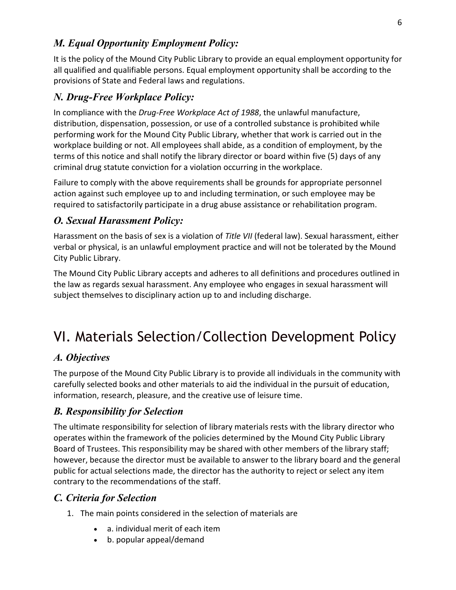### *M. Equal Opportunity Employment Policy:*

It is the policy of the Mound City Public Library to provide an equal employment opportunity for all qualified and qualifiable persons. Equal employment opportunity shall be according to the provisions of State and Federal laws and regulations.

### *N. Drug-Free Workplace Policy:*

In compliance with the *Drug-Free Workplace Act of 1988*, the unlawful manufacture, distribution, dispensation, possession, or use of a controlled substance is prohibited while performing work for the Mound City Public Library, whether that work is carried out in the workplace building or not. All employees shall abide, as a condition of employment, by the terms of this notice and shall notify the library director or board within five (5) days of any criminal drug statute conviction for a violation occurring in the workplace.

Failure to comply with the above requirements shall be grounds for appropriate personnel action against such employee up to and including termination, or such employee may be required to satisfactorily participate in a drug abuse assistance or rehabilitation program.

#### *O. Sexual Harassment Policy:*

Harassment on the basis of sex is a violation of *Title VII* (federal law). Sexual harassment, either verbal or physical, is an unlawful employment practice and will not be tolerated by the Mound City Public Library.

The Mound City Public Library accepts and adheres to all definitions and procedures outlined in the law as regards sexual harassment. Any employee who engages in sexual harassment will subject themselves to disciplinary action up to and including discharge.

# VI. Materials Selection/Collection Development Policy

#### *A. Objectives*

The purpose of the Mound City Public Library is to provide all individuals in the community with carefully selected books and other materials to aid the individual in the pursuit of education, information, research, pleasure, and the creative use of leisure time.

### *B. Responsibility for Selection*

The ultimate responsibility for selection of library materials rests with the library director who operates within the framework of the policies determined by the Mound City Public Library Board of Trustees. This responsibility may be shared with other members of the library staff; however, because the director must be available to answer to the library board and the general public for actual selections made, the director has the authority to reject or select any item contrary to the recommendations of the staff.

#### *C. Criteria for Selection*

- 1. The main points considered in the selection of materials are
	- a. individual merit of each item
	- b. popular appeal/demand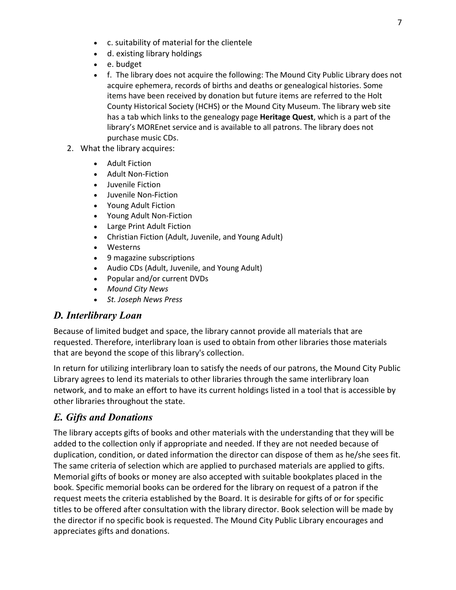- c. suitability of material for the clientele
- d. existing library holdings
- e. budget
- f. The library does not acquire the following: The Mound City Public Library does not acquire ephemera, records of births and deaths or genealogical histories. Some items have been received by donation but future items are referred to the Holt County Historical Society (HCHS) or the Mound City Museum. The library web site has a tab which links to the genealogy page **Heritage Quest**, which is a part of the library's MOREnet service and is available to all patrons. The library does not purchase music CDs.
- 2. What the library acquires:
	- Adult Fiction
	- Adult Non-Fiction
	- Juvenile Fiction
	- Juvenile Non-Fiction
	- Young Adult Fiction
	- Young Adult Non-Fiction
	- Large Print Adult Fiction
	- Christian Fiction (Adult, Juvenile, and Young Adult)
	- Westerns
	- 9 magazine subscriptions
	- Audio CDs (Adult, Juvenile, and Young Adult)
	- Popular and/or current DVDs
	- *Mound City News*
	- *St. Joseph News Press*

### *D. Interlibrary Loan*

Because of limited budget and space, the library cannot provide all materials that are requested. Therefore, interlibrary loan is used to obtain from other libraries those materials that are beyond the scope of this library's collection.

In return for utilizing interlibrary loan to satisfy the needs of our patrons, the Mound City Public Library agrees to lend its materials to other libraries through the same interlibrary loan network, and to make an effort to have its current holdings listed in a tool that is accessible by other libraries throughout the state.

## *E. Gifts and Donations*

The library accepts gifts of books and other materials with the understanding that they will be added to the collection only if appropriate and needed. If they are not needed because of duplication, condition, or dated information the director can dispose of them as he/she sees fit. The same criteria of selection which are applied to purchased materials are applied to gifts. Memorial gifts of books or money are also accepted with suitable bookplates placed in the book. Specific memorial books can be ordered for the library on request of a patron if the request meets the criteria established by the Board. It is desirable for gifts of or for specific titles to be offered after consultation with the library director. Book selection will be made by the director if no specific book is requested. The Mound City Public Library encourages and appreciates gifts and donations.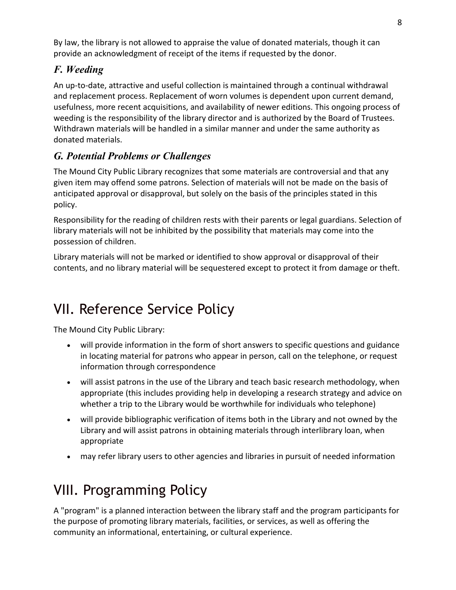By law, the library is not allowed to appraise the value of donated materials, though it can provide an acknowledgment of receipt of the items if requested by the donor.

## *F. Weeding*

An up-to-date, attractive and useful collection is maintained through a continual withdrawal and replacement process. Replacement of worn volumes is dependent upon current demand, usefulness, more recent acquisitions, and availability of newer editions. This ongoing process of weeding is the responsibility of the library director and is authorized by the Board of Trustees. Withdrawn materials will be handled in a similar manner and under the same authority as donated materials.

## *G. Potential Problems or Challenges*

The Mound City Public Library recognizes that some materials are controversial and that any given item may offend some patrons. Selection of materials will not be made on the basis of anticipated approval or disapproval, but solely on the basis of the principles stated in this policy.

Responsibility for the reading of children rests with their parents or legal guardians. Selection of library materials will not be inhibited by the possibility that materials may come into the possession of children.

Library materials will not be marked or identified to show approval or disapproval of their contents, and no library material will be sequestered except to protect it from damage or theft.

# VII. Reference Service Policy

The Mound City Public Library:

- will provide information in the form of short answers to specific questions and guidance in locating material for patrons who appear in person, call on the telephone, or request information through correspondence
- will assist patrons in the use of the Library and teach basic research methodology, when appropriate (this includes providing help in developing a research strategy and advice on whether a trip to the Library would be worthwhile for individuals who telephone)
- will provide bibliographic verification of items both in the Library and not owned by the Library and will assist patrons in obtaining materials through interlibrary loan, when appropriate
- may refer library users to other agencies and libraries in pursuit of needed information

# VIII. Programming Policy

A "program" is a planned interaction between the library staff and the program participants for the purpose of promoting library materials, facilities, or services, as well as offering the community an informational, entertaining, or cultural experience.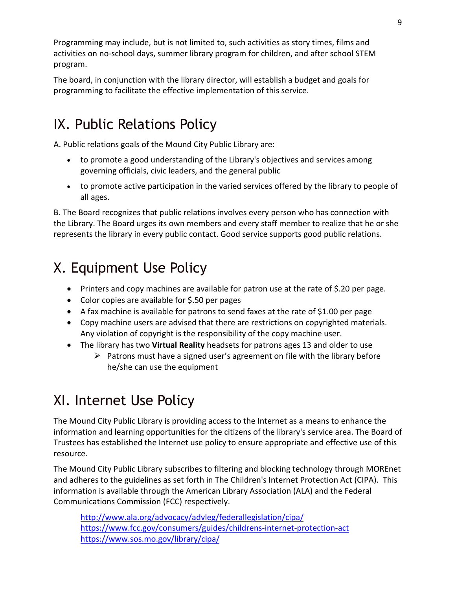Programming may include, but is not limited to, such activities as story times, films and activities on no-school days, summer library program for children, and after school STEM program.

The board, in conjunction with the library director, will establish a budget and goals for programming to facilitate the effective implementation of this service.

# IX. Public Relations Policy

A. Public relations goals of the Mound City Public Library are:

- to promote a good understanding of the Library's objectives and services among governing officials, civic leaders, and the general public
- to promote active participation in the varied services offered by the library to people of all ages.

B. The Board recognizes that public relations involves every person who has connection with the Library. The Board urges its own members and every staff member to realize that he or she represents the library in every public contact. Good service supports good public relations.

# X. Equipment Use Policy

- Printers and copy machines are available for patron use at the rate of \$.20 per page.
- Color copies are available for \$.50 per pages
- A fax machine is available for patrons to send faxes at the rate of \$1.00 per page
- Copy machine users are advised that there are restrictions on copyrighted materials. Any violation of copyright is the responsibility of the copy machine user.
- The library has two **Virtual Reality** headsets for patrons ages 13 and older to use
	- $\triangleright$  Patrons must have a signed user's agreement on file with the library before he/she can use the equipment

# XI. Internet Use Policy

The Mound City Public Library is providing access to the Internet as a means to enhance the information and learning opportunities for the citizens of the library's service area. The Board of Trustees has established the Internet use policy to ensure appropriate and effective use of this resource.

The Mound City Public Library subscribes to filtering and blocking technology through MOREnet and adheres to the guidelines as set forth in The Children's Internet Protection Act (CIPA). This information is available through the American Library Association (ALA) and the Federal Communications Commission (FCC) respectively.

<http://www.ala.org/advocacy/advleg/federallegislation/cipa/> <https://www.fcc.gov/consumers/guides/childrens-internet-protection-act> <https://www.sos.mo.gov/library/cipa/>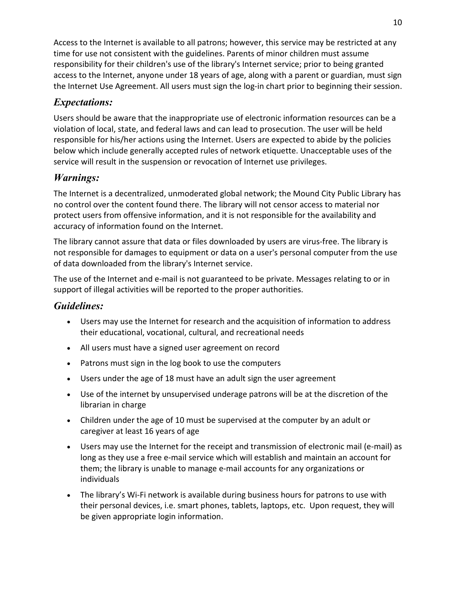Access to the Internet is available to all patrons; however, this service may be restricted at any time for use not consistent with the guidelines. Parents of minor children must assume responsibility for their children's use of the library's Internet service; prior to being granted access to the Internet, anyone under 18 years of age, along with a parent or guardian, must sign the Internet Use Agreement. All users must sign the log-in chart prior to beginning their session.

## *Expectations:*

Users should be aware that the inappropriate use of electronic information resources can be a violation of local, state, and federal laws and can lead to prosecution. The user will be held responsible for his/her actions using the Internet. Users are expected to abide by the policies below which include generally accepted rules of network etiquette. Unacceptable uses of the service will result in the suspension or revocation of Internet use privileges.

## *Warnings:*

The Internet is a decentralized, unmoderated global network; the Mound City Public Library has no control over the content found there. The library will not censor access to material nor protect users from offensive information, and it is not responsible for the availability and accuracy of information found on the Internet.

The library cannot assure that data or files downloaded by users are virus-free. The library is not responsible for damages to equipment or data on a user's personal computer from the use of data downloaded from the library's Internet service.

The use of the Internet and e-mail is not guaranteed to be private. Messages relating to or in support of illegal activities will be reported to the proper authorities.

## *Guidelines:*

- Users may use the Internet for research and the acquisition of information to address their educational, vocational, cultural, and recreational needs
- All users must have a signed user agreement on record
- Patrons must sign in the log book to use the computers
- Users under the age of 18 must have an adult sign the user agreement
- Use of the internet by unsupervised underage patrons will be at the discretion of the librarian in charge
- Children under the age of 10 must be supervised at the computer by an adult or caregiver at least 16 years of age
- Users may use the Internet for the receipt and transmission of electronic mail (e-mail) as long as they use a free e-mail service which will establish and maintain an account for them; the library is unable to manage e-mail accounts for any organizations or individuals
- The library's Wi-Fi network is available during business hours for patrons to use with their personal devices, i.e. smart phones, tablets, laptops, etc. Upon request, they will be given appropriate login information.